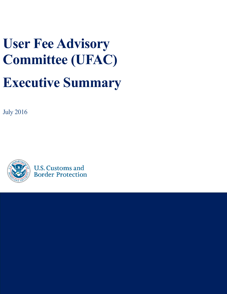# **User Fee Advisory Committee (UFAC) Executive Summary**

July 2016



**U.S. Customs and Border Protection**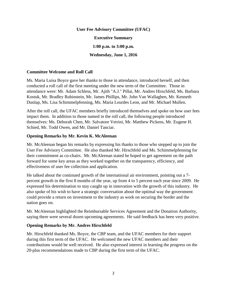**User Fee Advisory Committee (UFAC) Executive Summary 1:00 p.m. to 3:00 p.m. Wednesday, June 1, 2016**

#### **Committee Welcome and Roll Call**

Ms. Maria Luisa Boyce gave her thanks to those in attendance, introduced herself, and then conducted a roll call of the first meeting under the new term of the Committee. Those in attendance were: Mr. Adam Schless, Mr. Ajith "A.J." Pillai, Mr. Andres Hirschfeld, Ms. Barbara Kostuk, Mr. Bradley Rubinstein, Mr. James Phillips, Mr. John Van Wallaghen, Mr. Kenneth Dunlap, Ms. Lisa Schimmelpfenning, Ms. Maria Lourdes Leon, and Mr. Michael Mullen.

After the roll call, the UFAC members briefly introduced themselves and spoke on how user fees impact them. In addition to those named in the roll call, the following people introduced themselves: Ms. Deborah Chen, Mr. Salvatore Vetrini, Mr. Matthew Pickens, Mr. Eugene H. Schied, Mr. Todd Owen, and Mr. Daniel Tanciar.

#### **Opening Remarks by Mr. Kevin K. McAleenan**

Mr. McAleenan began his remarks by expressing his thanks to those who stepped up to join the User Fee Advisory Committee. He also thanked Mr. Hirschfeld and Ms. Schimmelpfenning for their commitment as co-chairs. Mr. McAleenan stated he hoped to get agreement on the path forward for some key areas as they worked together on the transparency, efficiency, and effectiveness of user fee collection and application.

He talked about the continued growth of the international air environment, pointing out a 7 percent growth in the first 8 months of the year, up from 4 to 5 percent each year since 2009. He expressed his determination to stay caught up in innovation with the growth of this industry. He also spoke of his wish to have a strategic conversation about the optimal way the government could provide a return on investment to the industry as work on securing the border and the nation goes on.

Mr. McAleenan highlighted the Reimbursable Services Agreement and the Donation Authority, saying there were several dozen upcoming agreements. He said feedback has been very positive.

## **Opening Remarks by Mr. Andres Hirschfeld**

Mr. Hirschfeld thanked Ms. Boyce, the CBP team, and the UFAC members for their support during this first term of the UFAC. He welcomed the new UFAC members and their contributions would be well received. He also expressed interest in learning the progress on the 20-plus recommendations made to CBP during the first term of the UFAC.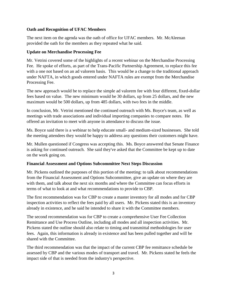## **Oath and Recognition of UFAC Members**

The next item on the agenda was the oath of office for UFAC members. Mr. McAleenan provided the oath for the members as they repeated what he said.

#### **Update on Merchandise Processing Fee**

Mr. Vetrini covered some of the highlights of a recent webinar on the Merchandise Processing Fee. He spoke of efforts, as part of the Trans-Pacific Partnership Agreement, to replace this fee with a one not based on an ad valorem basis. This would be a change to the traditional approach under NAFTA, in which goods entered under NAFTA rules are exempt from the Merchandise Processing Fee.

The new approach would be to replace the simple ad valorem fee with four different, fixed-dollar fees based on value. The new minimum would be 30 dollars, up from 25 dollars, and the new maximum would be 500 dollars, up from 485 dollars, with two fees in the middle.

In conclusion, Mr. Vetrini mentioned the continued outreach with Ms. Boyce's team, as well as meetings with trade associations and individual importing companies to compare notes. He offered an invitation to meet with anyone in attendance to discuss the issue.

Ms. Boyce said there is a webinar to help educate small- and medium-sized businesses. She told the meeting attendees they would be happy to address any questions their customers might have.

Mr. Mullen questioned if Congress was accepting this. Ms. Boyce answered that Senate Finance is asking for continued outreach. She said they've asked that the Committee be kept up to date on the work going on.

## **Financial Assessment and Options Subcommittee Next Steps Discussion**

Mr. Pickens outlined the purposes of this portion of the meeting: to talk about recommendations from the Financial Assessment and Options Subcommittee, give an update on where they are with them, and talk about the next six months and where the Committee can focus efforts in terms of what to look at and what recommendations to provide to CBP.

The first recommendation was for CBP to create a master inventory for all modes and for CBP inspection activities to reflect the fees paid by all users. Mr. Pickens stated this is an inventory already in existence, and he said he intended to share it with the Committee members.

The second recommendation was for CBP to create a comprehensive User Fee Collection Remittance and Use Process Outline, including all modes and all inspection activities. Mr. Pickens stated the outline should also relate to timing and transmittal methodologies for user fees. Again, this information is already in existence and has been pulled together and will be shared with the Committee.

The third recommendation was that the impact of the current CBP fee remittance schedule be assessed by CBP and the various modes of transport and travel. Mr. Pickens stated he feels the impact side of that is needed from the industry's perspective.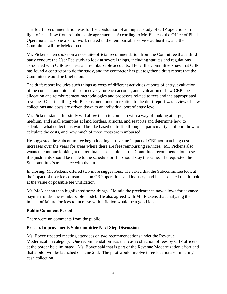The fourth recommendation was for the conduction of an impact study of CBP operations in light of cash flow from reimbursable agreements. According to Mr. Pickens, the Office of Field Operations has done a lot of work related to the reimbursable service authorities, and the Committee will be briefed on that.

Mr. Pickens then spoke on a not-quite-official recommendation from the Committee that a third party conduct the User Fee study to look at several things, including statutes and regulations associated with CBP user fees and reimbursable accounts. He let the Committee know that CBP has found a contractor to do the study, and the contractor has put together a draft report that the Committee would be briefed on.

The draft report includes such things as costs of different activities at ports of entry, evaluation of the concept and intent of cost recovery for each account, and evaluation of how CBP does allocation and reimbursement methodologies and processes related to fees and the appropriated revenue. One final thing Mr. Pickens mentioned in relation to the draft report was review of how collections and costs are driven down to an individual port of entry level.

Mr. Pickens stated this study will allow them to come up with a way of looking at large, medium, and small examples at land borders, airports, and seaports and determine how to calculate what collections would be like based on traffic through a particular type of port, how to calculate the costs, and how much of those costs are reimbursed.

He suggested the Subcommittee begin looking at revenue impact of CBP not matching cost increases over the years for areas where there are fees reimbursing services. Mr. Pickens also wants to continue looking at the remittance schedule per the Committee recommendation to see if adjustments should be made to the schedule or if it should stay the same. He requested the Subcommittee's assistance with that task.

In closing, Mr. Pickens offered two more suggestions. He asked that the Subcommittee look at the impact of user fee adjustments on CBP operations and industry, and he also asked that it look at the value of possible fee unification.

Mr. McAleenan then highlighted some things. He said the preclearance now allows for advance payment under the reimbursable model. He also agreed with Mr. Pickens that analyzing the impact of failure for fees to increase with inflation would be a good idea.

## **Public Comment Period**

There were no comments from the public.

## **Process Improvements Subcommittee Next Step Discussion**

Ms. Boyce updated meeting attendees on two recommendations under the Revenue Modernization category. One recommendation was that cash collection of fees by CBP officers at the border be eliminated. Ms. Boyce said that is part of the Revenue Modernization effort and that a pilot will be launched on June 2nd. The pilot would involve three locations eliminating cash collection.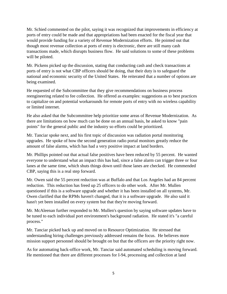Mr. Schied commented on the pilot, saying it was recognized that improvements in efficiency at ports of entry could be made and that appropriations had been enacted for the fiscal year that would provide funding for a variety of Revenue Modernization efforts. He pointed out that though most revenue collection at ports of entry is electronic, there are still many cash transactions made, which disrupts business flow. He said solutions to some of these problems will be piloted.

Mr. Pickens picked up the discussion, stating that conducting cash and check transactions at ports of entry is not what CBP officers should be doing, that their duty is to safeguard the national and economic security of the United States. He reiterated that a number of options are being examined.

He requested of the Subcommittee that they give recommendations on business process reengineering related to fee collection. He offered as examples: suggestions as to best practices to capitalize on and potential workarounds for remote ports of entry with no wireless capability or limited internet.

He also asked that the Subcommittee help prioritize some areas of Revenue Modernization. As there are limitations on how much can be done on an annual basis, he asked to know "pain points" for the general public and the industry so efforts could be prioritized.

Mr. Tanciar spoke next, and his first topic of discussion was radiation portal monitoring upgrades. He spoke of how the second generation radio portal monitors greatly reduce the amount of false alarms, which has had a very positive impact at land borders.

Mr. Phillips pointed out that actual false positives have been reduced by 55 percent. He wanted everyone to understand what an impact this has had, since a false alarm can trigger three or four lanes at the same time, which shuts things down until those lanes are checked. He commended CBP, saying this is a real step forward.

Mr. Owen said the 55 percent reduction was at Buffalo and that Los Angeles had an 84 percent reduction. This reduction has freed up 25 officers to do other work. After Mr. Mullen questioned if this is a software upgrade and whether it has been installed on all systems, Mr. Owen clarified that the RPMs haven't changed, that it is a software upgrade. He also said it hasn't yet been installed on every system but that they're moving forward.

Mr. McAleenan further responded to Mr. Mullen's question by saying software updates have to be tuned to each individual port environment's background radiation. He stated it's "a careful process."

Mr. Tanciar picked back up and moved on to Resource Optimization. He stressed that understanding hiring challenges previously addressed remains the focus. He believes more mission support personnel should be brought on but that the officers are the priority right now.

As for automating back-office work, Mr. Tanciar said automated scheduling is moving forward. He mentioned that there are different processes for I-94, processing and collection at land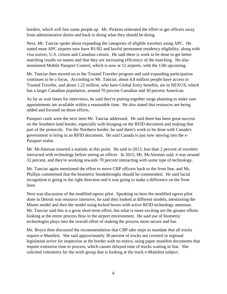borders, which will free some people up. Mr. Pickens reiterated the effort to get officers away from administrative duties and back to doing what they should be doing.

Next, Mr. Tanciar spoke about expanding the categories of eligible travelers using APC. He stated most APC airports now have B1/B2 and lawful permanent residency eligibility, along with visa waiver, U.S. citizen and Canadian citizen. He said there is work to be done to get better matching results on names and that they are increasing efficiency of the matching. He also mentioned Mobile Passport Control, which is now at 12 airports, with the 13th upcoming.

Mr. Tanciar then moved on to the Trusted Traveler program and said expanding participation continues to be a focus. According to Mr. Tanciar, about 4.8 million people have access to Trusted Traveler, and about 1.22 million, who have Global Entry benefits, are in NEXUS, which has a larger Canadian population, around 70 percent Canadian and 30 percent American.

As far as wait times for interviews, he said they're putting together surge planning to make sure appointments are available within a reasonable time. He also stated that resources are being added and focused on those efforts.

Passport cards were the next item Mr. Tanciar addressed. He said there has been great success on the Southern land border, especially with bringing on the RFID document and making that part of the protocols. For the Northern border, he said there's work to be done with Canada's government to bring in an RFID document. He said Canada is just now moving into the e-Passport realm.

Mr. McAleenan inserted a statistic at this point. He said in 2013, less than 2 percent of travelers interacted with technology before seeing an officer. In 2015, Mr. McAleenan said, it was around 32 percent, and they're working towards 70 percent interacting with some type of technology.

Mr. Tanciar again mentioned the effort to move CBP officers back to the front line, and Mr. Phillips commented that the biometric breakthroughs should be commended. He said facial recognition is going in the right direction and it was going to make a difference on the front lines.

Next was discussion of the modified egress pilot. Speaking on how the modified egress pilot done in Detroit was resource intensive, he said they looked at different models, mentioning the Miami model and then the model using locked boxes with active RFID technology antennae. Mr. Tanciar said this is a great short-term effort, but what is more exciting are the greater efforts looking at the entire process flow in the airport environment. He said use of biometric technologies plays into the overall effort of making the process more secure and fun.

Ms. Boyce then discussed the recommendation that CBP take steps to mandate that all trucks require e-Manifest. She said approximately 30 percent of trucks not covered in regional legislation arrive for inspection at the border with no notice, using paper manifest documents that require extensive time to process, which causes delayed time of trucks waiting in line. She solicited volunteers for the work group that is looking at the truck e-Manifest subject.